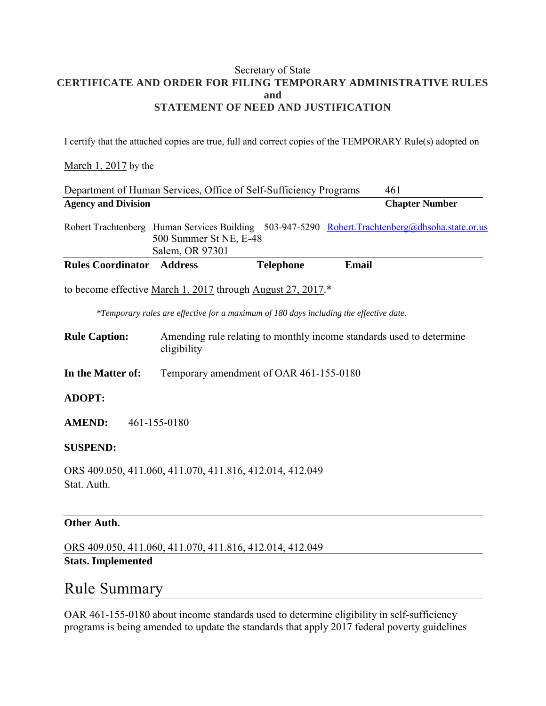#### Secretary of State **CERTIFICATE AND ORDER FOR FILING TEMPORARY ADMINISTRATIVE RULES and STATEMENT OF NEED AND JUSTIFICATION**

I certify that the attached copies are true, full and correct copies of the TEMPORARY Rule(s) adopted on

#### March 1, 2017 by the

|                                  | Department of Human Services, Office of Self-Sufficiency Programs                      |                                         |              | 461                                                                                              |
|----------------------------------|----------------------------------------------------------------------------------------|-----------------------------------------|--------------|--------------------------------------------------------------------------------------------------|
| <b>Agency and Division</b>       |                                                                                        |                                         |              | <b>Chapter Number</b>                                                                            |
|                                  | 500 Summer St NE, E-48<br>Salem, OR 97301                                              |                                         |              | Robert Trachtenberg Human Services Building 503-947-5290 Robert. Trachtenberg@dhsoha.state.or.us |
| <b>Rules Coordinator Address</b> |                                                                                        | <b>Telephone</b>                        | <b>Email</b> |                                                                                                  |
|                                  | to become effective March 1, 2017 through August 27, 2017.*                            |                                         |              |                                                                                                  |
|                                  | *Temporary rules are effective for a maximum of 180 days including the effective date. |                                         |              |                                                                                                  |
| <b>Rule Caption:</b>             | eligibility                                                                            |                                         |              | Amending rule relating to monthly income standards used to determine                             |
| In the Matter of:                |                                                                                        | Temporary amendment of OAR 461-155-0180 |              |                                                                                                  |
| <b>ADOPT:</b>                    |                                                                                        |                                         |              |                                                                                                  |
| <b>AMEND:</b>                    | 461-155-0180                                                                           |                                         |              |                                                                                                  |
| <b>SUSPEND:</b>                  |                                                                                        |                                         |              |                                                                                                  |
|                                  | ORS 409.050, 411.060, 411.070, 411.816, 412.014, 412.049                               |                                         |              |                                                                                                  |
| Stat. Auth.                      |                                                                                        |                                         |              |                                                                                                  |
|                                  |                                                                                        |                                         |              |                                                                                                  |

#### **Other Auth.**

ORS 409.050, 411.060, 411.070, 411.816, 412.014, 412.049 **Stats. Implemented** 

### Rule Summary

OAR 461-155-0180 about income standards used to determine eligibility in self-sufficiency programs is being amended to update the standards that apply 2017 federal poverty guidelines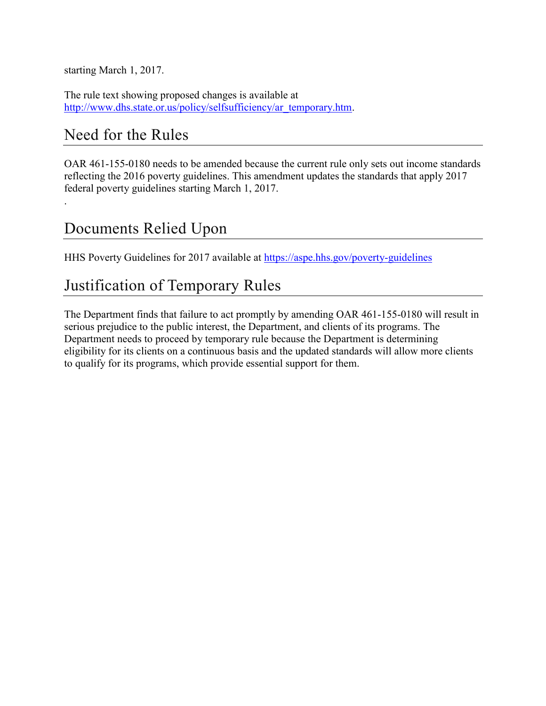starting March 1, 2017.

The rule text showing proposed changes is available at [http://www.dhs.state.or.us/policy/selfsufficiency/ar\\_temporary.htm.](http://www.dhs.state.or.us/policy/selfsufficiency/ar_temporary.htm)

## Need for the Rules

.

OAR 461-155-0180 needs to be amended because the current rule only sets out income standards reflecting the 2016 poverty guidelines. This amendment updates the standards that apply 2017 federal poverty guidelines starting March 1, 2017.

# Documents Relied Upon

HHS Poverty Guidelines for 2017 available at<https://aspe.hhs.gov/poverty-guidelines>

## Justification of Temporary Rules

The Department finds that failure to act promptly by amending OAR 461-155-0180 will result in serious prejudice to the public interest, the Department, and clients of its programs. The Department needs to proceed by temporary rule because the Department is determining eligibility for its clients on a continuous basis and the updated standards will allow more clients to qualify for its programs, which provide essential support for them.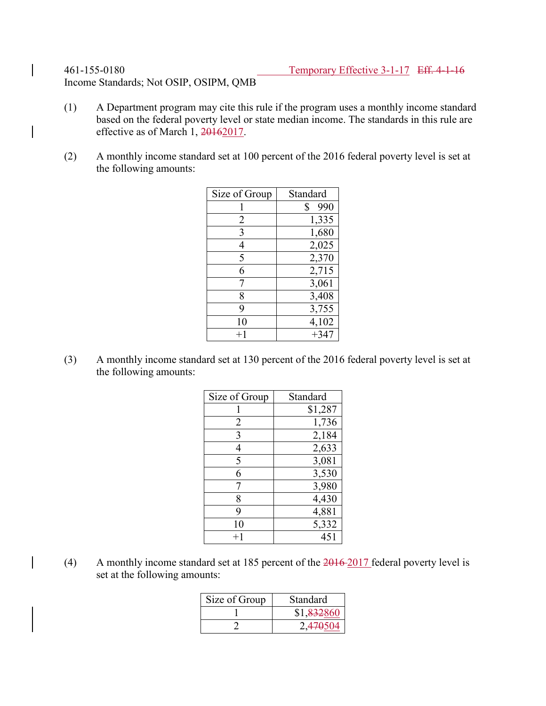Income Standards; Not OSIP, OSIPM, QMB

- (1) A Department program may cite this rule if the program uses a monthly income standard based on the federal poverty level or state median income. The standards in this rule are effective as of March 1, 20162017.
- (2) A monthly income standard set at 100 percent of the 2016 federal poverty level is set at the following amounts:

| Size of Group | Standard  |
|---------------|-----------|
|               | \$<br>990 |
| 2             | 1,335     |
| 3             | 1,680     |
| 4             | 2,025     |
| 5             | 2,370     |
| 6             | 2,715     |
| 7             | 3,061     |
| 8             | 3,408     |
| 9             | 3,755     |
| 10            | 4,102     |
| $+1$          | $+347$    |

(3) A monthly income standard set at 130 percent of the 2016 federal poverty level is set at the following amounts:

| Size of Group | Standard |
|---------------|----------|
|               | \$1,287  |
| 2             | 1,736    |
| 3             | 2,184    |
| 4             | 2,633    |
| 5             | 3,081    |
| 6             | 3,530    |
|               | 3,980    |
| 8             | 4,430    |
| 9             | 4,881    |
| 10            | 5,332    |
| $+1$          | 451      |

(4) A monthly income standard set at 185 percent of the 2016 2017 federal poverty level is set at the following amounts:

| Size of Group | Standard   |
|---------------|------------|
|               | \$1,832860 |
|               | 2,470504   |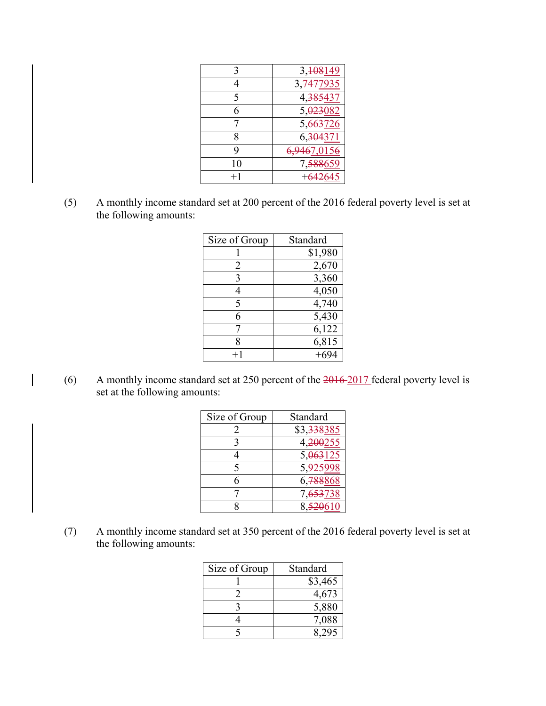|    | 3, 108149                     |
|----|-------------------------------|
|    | 3, <del>747</del> <u>7935</u> |
| 5  | 4, <del>385</del> 437         |
| 6  | 5,023082                      |
|    | 5,663726                      |
| 8  | 6, <del>304</del> 371         |
| q  | 6,9467,0156                   |
| 10 |                               |
|    |                               |

(5) A monthly income standard set at 200 percent of the 2016 federal poverty level is set at the following amounts:

| Size of Group | Standard |
|---------------|----------|
|               | \$1,980  |
| 2             | 2,670    |
| 3             | 3,360    |
|               | 4,050    |
| 5             | 4,740    |
| 6             | 5,430    |
|               | 6,122    |
| 8             | 6,815    |
|               | $+694$   |

(6) A monthly income standard set at 250 percent of the 2016 2017 federal poverty level is set at the following amounts:

| Size of Group | Standard                |
|---------------|-------------------------|
| $\mathbf{2}$  | \$3, <del>338</del> 385 |
| 3             | 4, <del>200</del> 255   |
|               | 5, <del>063</del> 125   |
| 5             | 5,925998                |
| 6             | 6. <del>788</del> 868   |
|               | 7, <del>653</del> 738   |
|               | 8.520610                |

(7) A monthly income standard set at 350 percent of the 2016 federal poverty level is set at the following amounts:

| Size of Group | Standard |
|---------------|----------|
|               | \$3,465  |
|               | 4,673    |
|               | 5,880    |
|               | 7,088    |
|               |          |